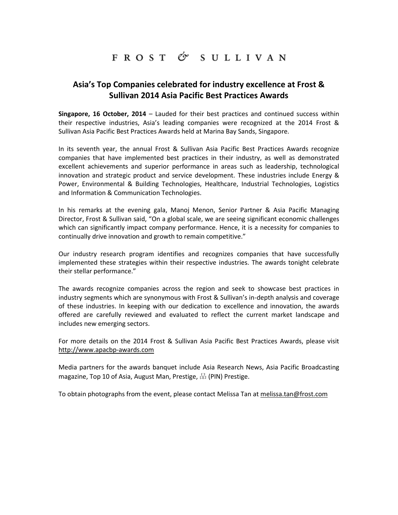## FROST & SULLIVAN

## **Asia's Top Companies celebrated for industry excellence at Frost & Sullivan 2014 Asia Pacific Best Practices Awards**

**Singapore, 16 October, 2014** – Lauded for their best practices and continued success within their respective industries, Asia's leading companies were recognized at the 2014 Frost & Sullivan Asia Pacific Best Practices Awards held at Marina Bay Sands, Singapore.

In its seventh year, the annual Frost & Sullivan Asia Pacific Best Practices Awards recognize companies that have implemented best practices in their industry, as well as demonstrated excellent achievements and superior performance in areas such as leadership, technological innovation and strategic product and service development. These industries include Energy & Power, Environmental & Building Technologies, Healthcare, Industrial Technologies, Logistics and Information & Communication Technologies.

In his remarks at the evening gala, Manoj Menon, Senior Partner & Asia Pacific Managing Director, Frost & Sullivan said, "On a global scale, we are seeing significant economic challenges which can significantly impact company performance. Hence, it is a necessity for companies to continually drive innovation and growth to remain competitive."

Our industry research program identifies and recognizes companies that have successfully implemented these strategies within their respective industries. The awards tonight celebrate their stellar performance."

The awards recognize companies across the region and seek to showcase best practices in industry segments which are synonymous with Frost & Sullivan's in-depth analysis and coverage of these industries. In keeping with our dedication to excellence and innovation, the awards offered are carefully reviewed and evaluated to reflect the current market landscape and includes new emerging sectors.

For more details on the 2014 Frost & Sullivan Asia Pacific Best Practices Awards, please visit http://www.apacbp-awards.com

Media partners for the awards banquet include Asia Research News, Asia Pacific Broadcasting magazine, Top 10 of Asia, August Man, Prestige, 品 (PIN) Prestige.

To obtain photographs from the event, please contact Melissa Tan at [melissa.tan@frost.com](mailto:melissa.tan@frost.com)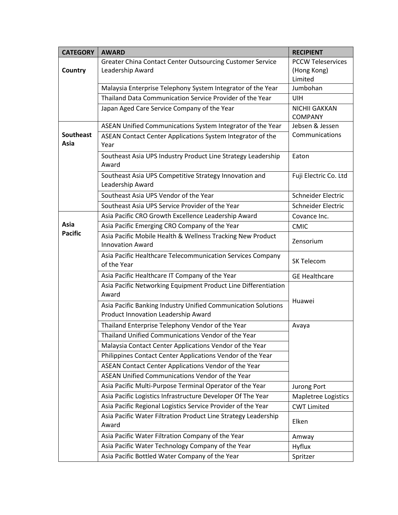| <b>CATEGORY</b>          | <b>AWARD</b>                                                                                         | <b>RECIPIENT</b>           |
|--------------------------|------------------------------------------------------------------------------------------------------|----------------------------|
|                          | Greater China Contact Center Outsourcing Customer Service                                            | <b>PCCW Teleservices</b>   |
| <b>Country</b>           | Leadership Award                                                                                     | (Hong Kong)                |
|                          | Malaysia Enterprise Telephony System Integrator of the Year                                          | Limited<br>Jumbohan        |
|                          | Thailand Data Communication Service Provider of the Year                                             | <b>UIH</b>                 |
|                          | Japan Aged Care Service Company of the Year                                                          | <b>NICHII GAKKAN</b>       |
|                          |                                                                                                      | <b>COMPANY</b>             |
|                          | ASEAN Unified Communications System Integrator of the Year                                           | Jebsen & Jessen            |
| <b>Southeast</b><br>Asia | ASEAN Contact Center Applications System Integrator of the<br>Year                                   | Communications             |
|                          | Southeast Asia UPS Industry Product Line Strategy Leadership<br>Award                                | Eaton                      |
|                          | Southeast Asia UPS Competitive Strategy Innovation and<br>Leadership Award                           | Fuji Electric Co. Ltd      |
|                          | Southeast Asia UPS Vendor of the Year                                                                | Schneider Electric         |
|                          | Southeast Asia UPS Service Provider of the Year                                                      | Schneider Electric         |
|                          | Asia Pacific CRO Growth Excellence Leadership Award                                                  | Covance Inc.               |
| Asia                     | Asia Pacific Emerging CRO Company of the Year                                                        | <b>CMIC</b>                |
| <b>Pacific</b>           | Asia Pacific Mobile Health & Wellness Tracking New Product<br><b>Innovation Award</b>                | Zensorium                  |
|                          | Asia Pacific Healthcare Telecommunication Services Company<br>of the Year                            | SK Telecom                 |
|                          | Asia Pacific Healthcare IT Company of the Year                                                       | <b>GE Healthcare</b>       |
|                          | Asia Pacific Networking Equipment Product Line Differentiation<br>Award                              |                            |
|                          | Asia Pacific Banking Industry Unified Communication Solutions<br>Product Innovation Leadership Award | Huawei                     |
|                          | Thailand Enterprise Telephony Vendor of the Year                                                     | Avaya                      |
|                          | Thailand Unified Communications Vendor of the Year                                                   |                            |
|                          | Malaysia Contact Center Applications Vendor of the Year                                              |                            |
|                          | Philippines Contact Center Applications Vendor of the Year                                           |                            |
|                          | ASEAN Contact Center Applications Vendor of the Year                                                 |                            |
|                          | ASEAN Unified Communications Vendor of the Year                                                      |                            |
|                          | Asia Pacific Multi-Purpose Terminal Operator of the Year                                             | Jurong Port                |
|                          | Asia Pacific Logistics Infrastructure Developer Of The Year                                          | <b>Mapletree Logistics</b> |
|                          | Asia Pacific Regional Logistics Service Provider of the Year                                         | <b>CWT Limited</b>         |
|                          | Asia Pacific Water Filtration Product Line Strategy Leadership<br>Award                              | Elken                      |
|                          | Asia Pacific Water Filtration Company of the Year                                                    | Amway                      |
|                          | Asia Pacific Water Technology Company of the Year                                                    | Hyflux                     |
|                          | Asia Pacific Bottled Water Company of the Year                                                       | Spritzer                   |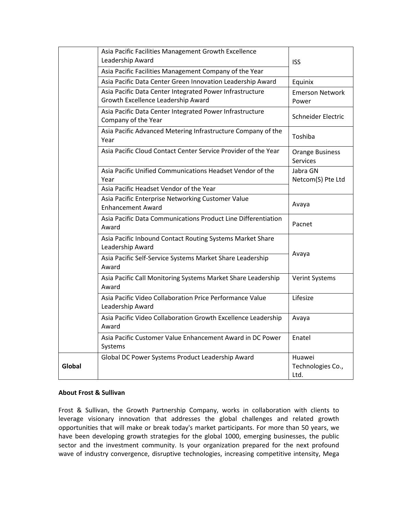|        | Asia Pacific Facilities Management Growth Excellence                                           |                                           |
|--------|------------------------------------------------------------------------------------------------|-------------------------------------------|
|        | Leadership Award                                                                               | <b>ISS</b>                                |
|        | Asia Pacific Facilities Management Company of the Year                                         |                                           |
|        | Asia Pacific Data Center Green Innovation Leadership Award                                     | Equinix                                   |
|        | Asia Pacific Data Center Integrated Power Infrastructure<br>Growth Excellence Leadership Award | <b>Emerson Network</b><br>Power           |
|        | Asia Pacific Data Center Integrated Power Infrastructure<br>Company of the Year                | Schneider Electric                        |
|        | Asia Pacific Advanced Metering Infrastructure Company of the<br>Year                           | Toshiba                                   |
|        | Asia Pacific Cloud Contact Center Service Provider of the Year                                 | <b>Orange Business</b><br><b>Services</b> |
|        | Asia Pacific Unified Communications Headset Vendor of the<br>Year                              | Jabra GN<br>Netcom(S) Pte Ltd             |
|        | Asia Pacific Headset Vendor of the Year                                                        |                                           |
|        | Asia Pacific Enterprise Networking Customer Value<br><b>Enhancement Award</b>                  | Avaya                                     |
|        | Asia Pacific Data Communications Product Line Differentiation<br>Award                         | Pacnet                                    |
|        | Asia Pacific Inbound Contact Routing Systems Market Share<br>Leadership Award                  |                                           |
|        | Asia Pacific Self-Service Systems Market Share Leadership<br>Award                             | Avaya                                     |
|        | Asia Pacific Call Monitoring Systems Market Share Leadership<br>Award                          | <b>Verint Systems</b>                     |
|        | Asia Pacific Video Collaboration Price Performance Value<br>Leadership Award                   | Lifesize                                  |
|        | Asia Pacific Video Collaboration Growth Excellence Leadership<br>Award                         | Avaya                                     |
|        | Asia Pacific Customer Value Enhancement Award in DC Power<br>Systems                           | Enatel                                    |
| Global | Global DC Power Systems Product Leadership Award                                               | Huawei<br>Technologies Co.,<br>Ltd.       |

## **About Frost & Sullivan**

Frost & Sullivan, the Growth Partnership Company, works in collaboration with clients to leverage visionary innovation that addresses the global challenges and related growth opportunities that will make or break today's market participants. For more than 50 years, we have been developing growth strategies for the global 1000, emerging businesses, the public sector and the investment community. Is your organization prepared for the next profound wave of industry convergence, disruptive technologies, increasing competitive intensity, Mega